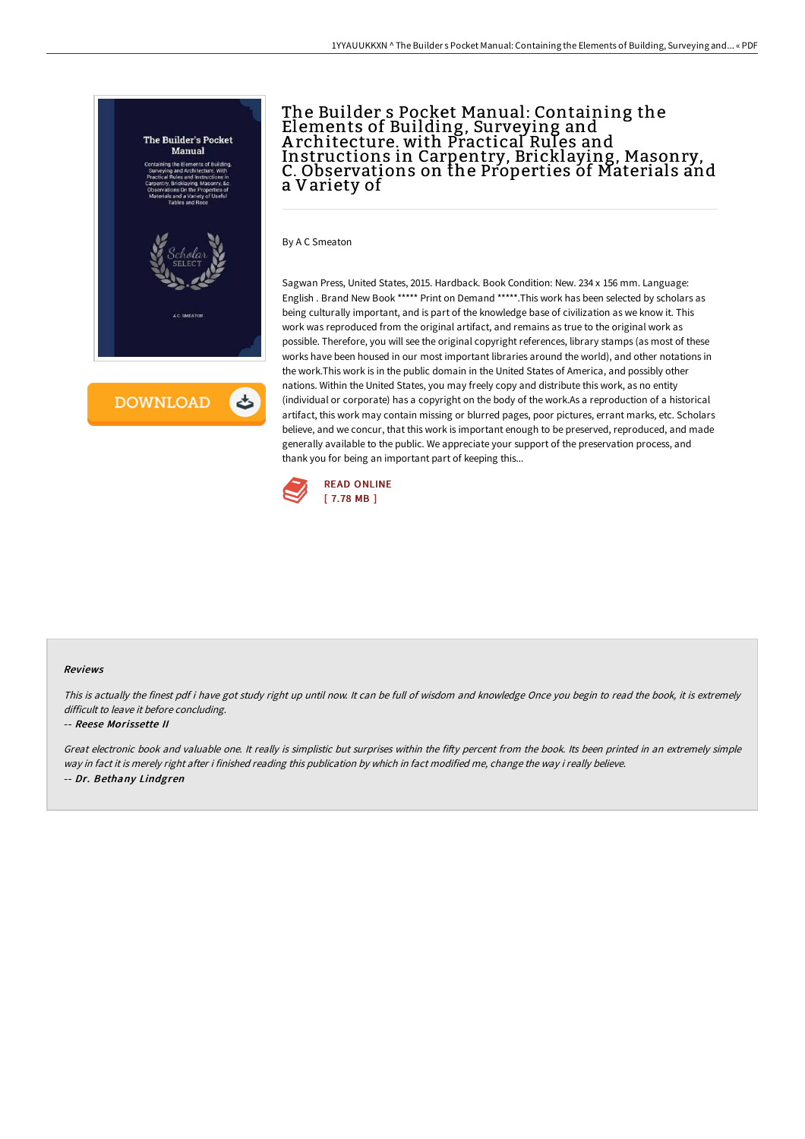

# The Builder s Pocket Manual: Containing the Elements of Building, Surveying and A rchitecture. with Practical Rules and Instructions in Carpentry, Bricklaying, Masonry, C. Observations on the Properties of Materials and a Variety of

By A C Smeaton

Sagwan Press, United States, 2015. Hardback. Book Condition: New. 234 x 156 mm. Language: English . Brand New Book \*\*\*\*\* Print on Demand \*\*\*\*\*.This work has been selected by scholars as being culturally important, and is part of the knowledge base of civilization as we know it. This work was reproduced from the original artifact, and remains as true to the original work as possible. Therefore, you will see the original copyright references, library stamps (as most of these works have been housed in our most important libraries around the world), and other notations in the work.This work is in the public domain in the United States of America, and possibly other nations. Within the United States, you may freely copy and distribute this work, as no entity (individual or corporate) has a copyright on the body of the work.As a reproduction of a historical artifact, this work may contain missing or blurred pages, poor pictures, errant marks, etc. Scholars believe, and we concur, that this work is important enough to be preserved, reproduced, and made generally available to the public. We appreciate your support of the preservation process, and thank you for being an important part of keeping this...



#### Reviews

This is actually the finest pdf i have got study right up until now. It can be full of wisdom and knowledge Once you begin to read the book, it is extremely difficult to leave it before concluding.

### -- Reese Morissette II

Great electronic book and valuable one. It really is simplistic but surprises within the fifty percent from the book. Its been printed in an extremely simple way in fact it is merely right after i finished reading this publication by which in fact modified me, change the way i really believe. -- Dr. Bethany Lindgren